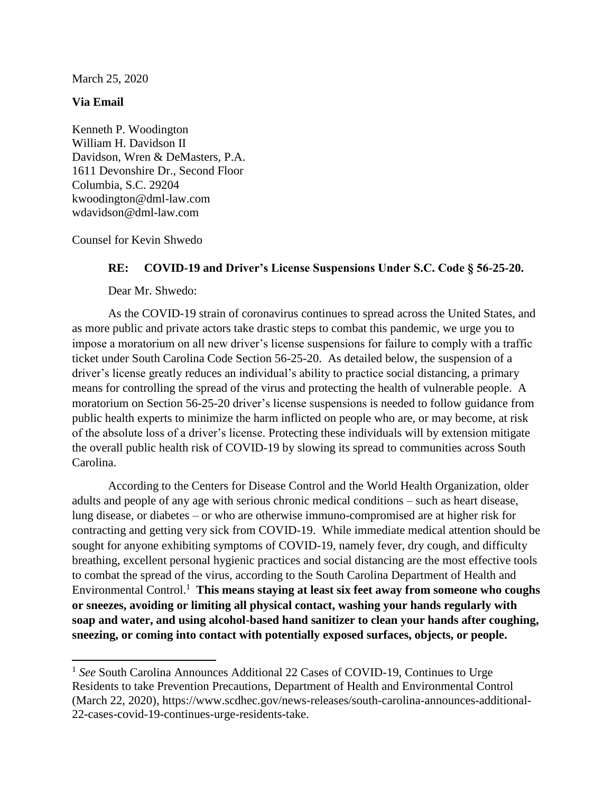March 25, 2020

## **Via Email**

 $\overline{a}$ 

Kenneth P. Woodington William H. Davidson II Davidson, Wren & DeMasters, P.A. 1611 Devonshire Dr., Second Floor Columbia, S.C. 29204 kwoodington@dml-law.com wdavidson@dml-law.com

Counsel for Kevin Shwedo

## **RE: COVID-19 and Driver's License Suspensions Under S.C. Code § 56-25-20.**

Dear Mr. Shwedo:

As the COVID-19 strain of coronavirus continues to spread across the United States, and as more public and private actors take drastic steps to combat this pandemic, we urge you to impose a moratorium on all new driver's license suspensions for failure to comply with a traffic ticket under South Carolina Code Section 56-25-20. As detailed below, the suspension of a driver's license greatly reduces an individual's ability to practice social distancing, a primary means for controlling the spread of the virus and protecting the health of vulnerable people. A moratorium on Section 56-25-20 driver's license suspensions is needed to follow guidance from public health experts to minimize the harm inflicted on people who are, or may become, at risk of the absolute loss of a driver's license. Protecting these individuals will by extension mitigate the overall public health risk of COVID-19 by slowing its spread to communities across South Carolina.

According to the Centers for Disease Control and the World Health Organization, older adults and people of any age with serious chronic medical conditions – such as heart disease, lung disease, or diabetes – or who are otherwise immuno-compromised are at higher risk for contracting and getting very sick from COVID-19. While immediate medical attention should be sought for anyone exhibiting symptoms of COVID-19, namely fever, dry cough, and difficulty breathing, excellent personal hygienic practices and social distancing are the most effective tools to combat the spread of the virus, according to the South Carolina Department of Health and Environmental Control. <sup>1</sup> **This means staying at least six feet away from someone who coughs or sneezes, avoiding or limiting all physical contact, washing your hands regularly with soap and water, and using alcohol-based hand sanitizer to clean your hands after coughing, sneezing, or coming into contact with potentially exposed surfaces, objects, or people.** 

<sup>&</sup>lt;sup>1</sup> See South Carolina Announces Additional 22 Cases of COVID-19, Continues to Urge Residents to take Prevention Precautions, Department of Health and Environmental Control (March 22, 2020), https://www.scdhec.gov/news-releases/south-carolina-announces-additional-22-cases-covid-19-continues-urge-residents-take.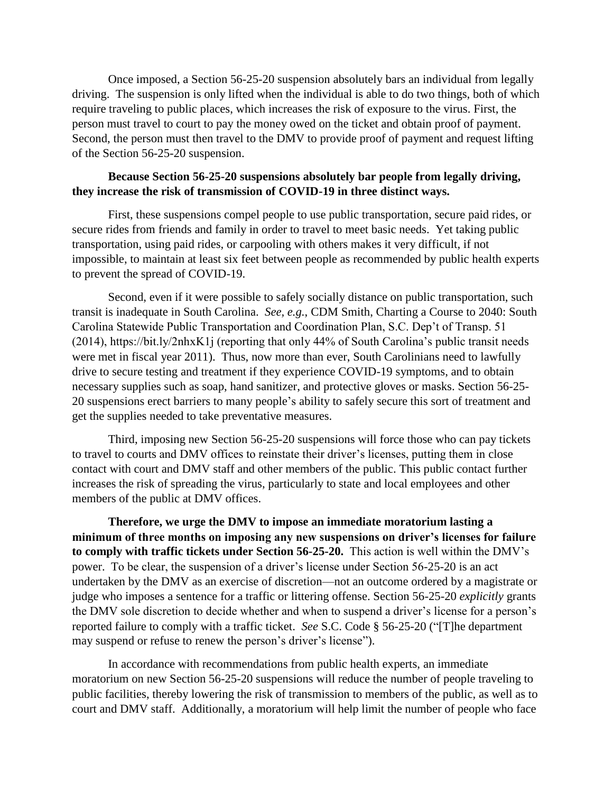Once imposed, a Section 56-25-20 suspension absolutely bars an individual from legally driving. The suspension is only lifted when the individual is able to do two things, both of which require traveling to public places, which increases the risk of exposure to the virus. First, the person must travel to court to pay the money owed on the ticket and obtain proof of payment. Second, the person must then travel to the DMV to provide proof of payment and request lifting of the Section 56-25-20 suspension.

## **Because Section 56-25-20 suspensions absolutely bar people from legally driving, they increase the risk of transmission of COVID-19 in three distinct ways.**

First, these suspensions compel people to use public transportation, secure paid rides, or secure rides from friends and family in order to travel to meet basic needs. Yet taking public transportation, using paid rides, or carpooling with others makes it very difficult, if not impossible, to maintain at least six feet between people as recommended by public health experts to prevent the spread of COVID-19.

Second, even if it were possible to safely socially distance on public transportation, such transit is inadequate in South Carolina. *See, e.g.*, CDM Smith, Charting a Course to 2040: South Carolina Statewide Public Transportation and Coordination Plan, S.C. Dep't of Transp. 51 (2014), https://bit.ly/2nhxK1j (reporting that only 44% of South Carolina's public transit needs were met in fiscal year 2011). Thus, now more than ever, South Carolinians need to lawfully drive to secure testing and treatment if they experience COVID-19 symptoms, and to obtain necessary supplies such as soap, hand sanitizer, and protective gloves or masks. Section 56-25- 20 suspensions erect barriers to many people's ability to safely secure this sort of treatment and get the supplies needed to take preventative measures.

Third, imposing new Section 56-25-20 suspensions will force those who can pay tickets to travel to courts and DMV offices to reinstate their driver's licenses, putting them in close contact with court and DMV staff and other members of the public. This public contact further increases the risk of spreading the virus, particularly to state and local employees and other members of the public at DMV offices.

**Therefore, we urge the DMV to impose an immediate moratorium lasting a minimum of three months on imposing any new suspensions on driver's licenses for failure to comply with traffic tickets under Section 56-25-20.** This action is well within the DMV's power. To be clear, the suspension of a driver's license under Section 56-25-20 is an act undertaken by the DMV as an exercise of discretion—not an outcome ordered by a magistrate or judge who imposes a sentence for a traffic or littering offense. Section 56-25-20 *explicitly* grants the DMV sole discretion to decide whether and when to suspend a driver's license for a person's reported failure to comply with a traffic ticket. *See* S.C. Code § 56-25-20 ("[T]he department may suspend or refuse to renew the person's driver's license").

In accordance with recommendations from public health experts, an immediate moratorium on new Section 56-25-20 suspensions will reduce the number of people traveling to public facilities, thereby lowering the risk of transmission to members of the public, as well as to court and DMV staff. Additionally, a moratorium will help limit the number of people who face